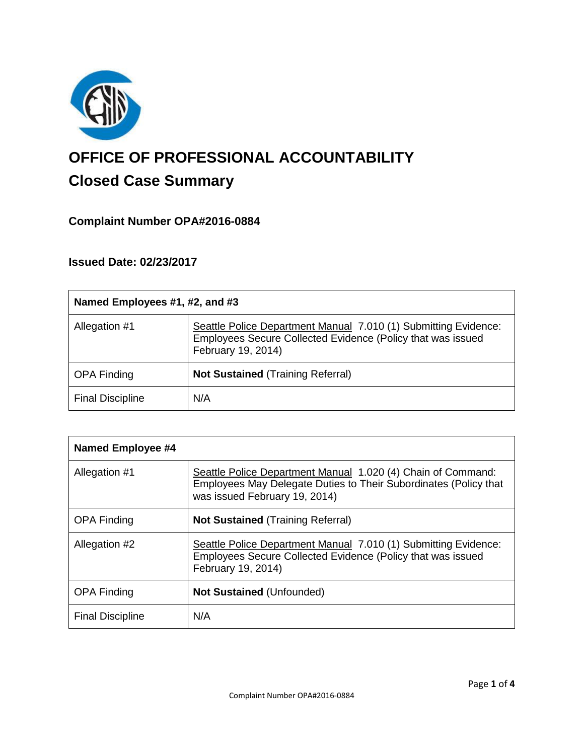

# **OFFICE OF PROFESSIONAL ACCOUNTABILITY Closed Case Summary**

# **Complaint Number OPA#2016-0884**

# **Issued Date: 02/23/2017**

| Named Employees #1, #2, and #3 |                                                                                                                                                      |
|--------------------------------|------------------------------------------------------------------------------------------------------------------------------------------------------|
| Allegation #1                  | Seattle Police Department Manual 7.010 (1) Submitting Evidence:<br>Employees Secure Collected Evidence (Policy that was issued<br>February 19, 2014) |
| <b>OPA Finding</b>             | <b>Not Sustained (Training Referral)</b>                                                                                                             |
| <b>Final Discipline</b>        | N/A                                                                                                                                                  |

| Named Employee #4       |                                                                                                                                                                   |
|-------------------------|-------------------------------------------------------------------------------------------------------------------------------------------------------------------|
| Allegation #1           | Seattle Police Department Manual 1.020 (4) Chain of Command:<br>Employees May Delegate Duties to Their Subordinates (Policy that<br>was issued February 19, 2014) |
| <b>OPA Finding</b>      | <b>Not Sustained (Training Referral)</b>                                                                                                                          |
| Allegation #2           | Seattle Police Department Manual 7.010 (1) Submitting Evidence:<br>Employees Secure Collected Evidence (Policy that was issued<br>February 19, 2014)              |
| <b>OPA Finding</b>      | <b>Not Sustained (Unfounded)</b>                                                                                                                                  |
| <b>Final Discipline</b> | N/A                                                                                                                                                               |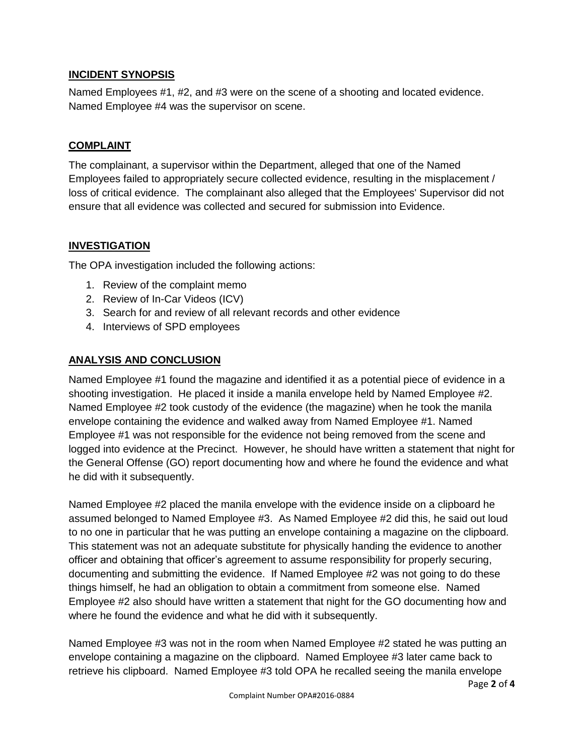#### **INCIDENT SYNOPSIS**

Named Employees #1, #2, and #3 were on the scene of a shooting and located evidence. Named Employee #4 was the supervisor on scene.

#### **COMPLAINT**

The complainant, a supervisor within the Department, alleged that one of the Named Employees failed to appropriately secure collected evidence, resulting in the misplacement / loss of critical evidence. The complainant also alleged that the Employees' Supervisor did not ensure that all evidence was collected and secured for submission into Evidence.

#### **INVESTIGATION**

The OPA investigation included the following actions:

- 1. Review of the complaint memo
- 2. Review of In-Car Videos (ICV)
- 3. Search for and review of all relevant records and other evidence
- 4. Interviews of SPD employees

#### **ANALYSIS AND CONCLUSION**

Named Employee #1 found the magazine and identified it as a potential piece of evidence in a shooting investigation. He placed it inside a manila envelope held by Named Employee #2. Named Employee #2 took custody of the evidence (the magazine) when he took the manila envelope containing the evidence and walked away from Named Employee #1. Named Employee #1 was not responsible for the evidence not being removed from the scene and logged into evidence at the Precinct. However, he should have written a statement that night for the General Offense (GO) report documenting how and where he found the evidence and what he did with it subsequently.

Named Employee #2 placed the manila envelope with the evidence inside on a clipboard he assumed belonged to Named Employee #3. As Named Employee #2 did this, he said out loud to no one in particular that he was putting an envelope containing a magazine on the clipboard. This statement was not an adequate substitute for physically handing the evidence to another officer and obtaining that officer's agreement to assume responsibility for properly securing, documenting and submitting the evidence. If Named Employee #2 was not going to do these things himself, he had an obligation to obtain a commitment from someone else. Named Employee #2 also should have written a statement that night for the GO documenting how and where he found the evidence and what he did with it subsequently.

Named Employee #3 was not in the room when Named Employee #2 stated he was putting an envelope containing a magazine on the clipboard. Named Employee #3 later came back to retrieve his clipboard. Named Employee #3 told OPA he recalled seeing the manila envelope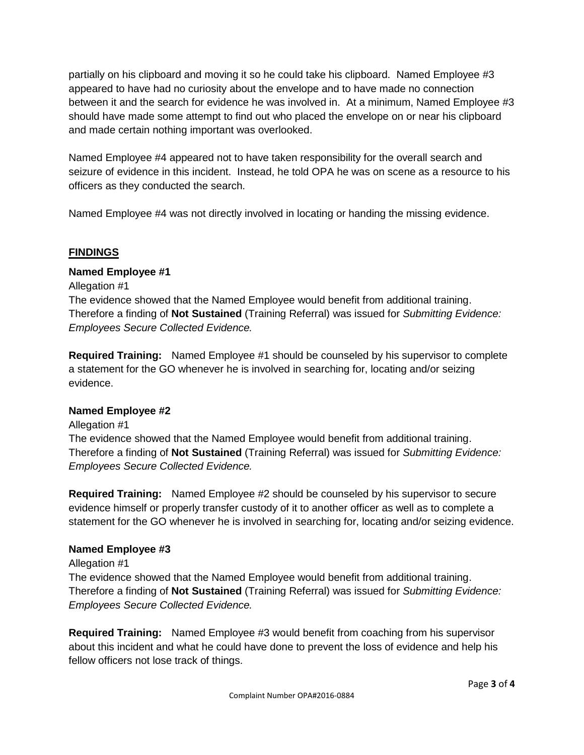partially on his clipboard and moving it so he could take his clipboard. Named Employee #3 appeared to have had no curiosity about the envelope and to have made no connection between it and the search for evidence he was involved in. At a minimum, Named Employee #3 should have made some attempt to find out who placed the envelope on or near his clipboard and made certain nothing important was overlooked.

Named Employee #4 appeared not to have taken responsibility for the overall search and seizure of evidence in this incident. Instead, he told OPA he was on scene as a resource to his officers as they conducted the search.

Named Employee #4 was not directly involved in locating or handing the missing evidence.

### **FINDINGS**

## **Named Employee #1**

Allegation #1 The evidence showed that the Named Employee would benefit from additional training. Therefore a finding of **Not Sustained** (Training Referral) was issued for *Submitting Evidence: Employees Secure Collected Evidence.*

**Required Training:** Named Employee #1 should be counseled by his supervisor to complete a statement for the GO whenever he is involved in searching for, locating and/or seizing evidence.

### **Named Employee #2**

Allegation #1 The evidence showed that the Named Employee would benefit from additional training. Therefore a finding of **Not Sustained** (Training Referral) was issued for *Submitting Evidence: Employees Secure Collected Evidence.*

**Required Training:** Named Employee #2 should be counseled by his supervisor to secure evidence himself or properly transfer custody of it to another officer as well as to complete a statement for the GO whenever he is involved in searching for, locating and/or seizing evidence.

### **Named Employee #3**

### Allegation #1

The evidence showed that the Named Employee would benefit from additional training. Therefore a finding of **Not Sustained** (Training Referral) was issued for *Submitting Evidence: Employees Secure Collected Evidence.*

**Required Training:** Named Employee #3 would benefit from coaching from his supervisor about this incident and what he could have done to prevent the loss of evidence and help his fellow officers not lose track of things.